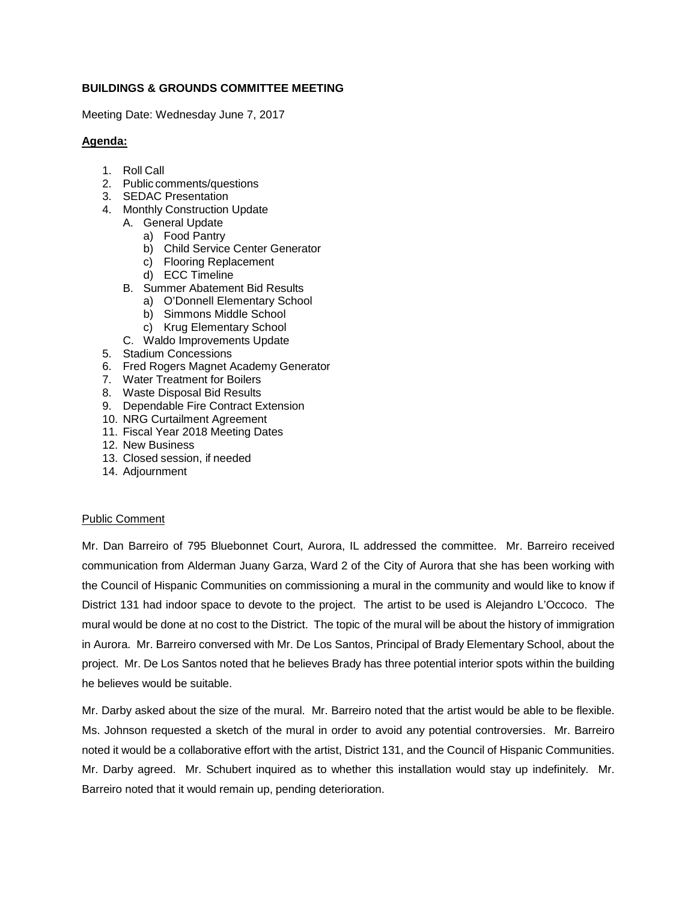# **BUILDINGS & GROUNDS COMMITTEE MEETING**

Meeting Date: Wednesday June 7, 2017

# **Agenda:**

- 1. Roll Call
- 2. Public comments/questions
- 3. SEDAC Presentation
- 4. Monthly Construction Update
	- A. General Update
		- a) Food Pantry
		- b) Child Service Center Generator
		- c) Flooring Replacement
		- d) ECC Timeline
	- B. Summer Abatement Bid Results
		- a) O'Donnell Elementary School
		- b) Simmons Middle School
		- c) Krug Elementary School
	- C. Waldo Improvements Update
- 5. Stadium Concessions
- 6. Fred Rogers Magnet Academy Generator
- 7. Water Treatment for Boilers
- 8. Waste Disposal Bid Results
- 9. Dependable Fire Contract Extension
- 10. NRG Curtailment Agreement
- 11. Fiscal Year 2018 Meeting Dates
- 12. New Business
- 13. Closed session, if needed
- 14. Adjournment

## Public Comment

Mr. Dan Barreiro of 795 Bluebonnet Court, Aurora, IL addressed the committee. Mr. Barreiro received communication from Alderman Juany Garza, Ward 2 of the City of Aurora that she has been working with the Council of Hispanic Communities on commissioning a mural in the community and would like to know if District 131 had indoor space to devote to the project. The artist to be used is Alejandro L'Occoco. The mural would be done at no cost to the District. The topic of the mural will be about the history of immigration in Aurora. Mr. Barreiro conversed with Mr. De Los Santos, Principal of Brady Elementary School, about the project. Mr. De Los Santos noted that he believes Brady has three potential interior spots within the building he believes would be suitable.

Mr. Darby asked about the size of the mural. Mr. Barreiro noted that the artist would be able to be flexible. Ms. Johnson requested a sketch of the mural in order to avoid any potential controversies. Mr. Barreiro noted it would be a collaborative effort with the artist, District 131, and the Council of Hispanic Communities. Mr. Darby agreed. Mr. Schubert inquired as to whether this installation would stay up indefinitely. Mr. Barreiro noted that it would remain up, pending deterioration.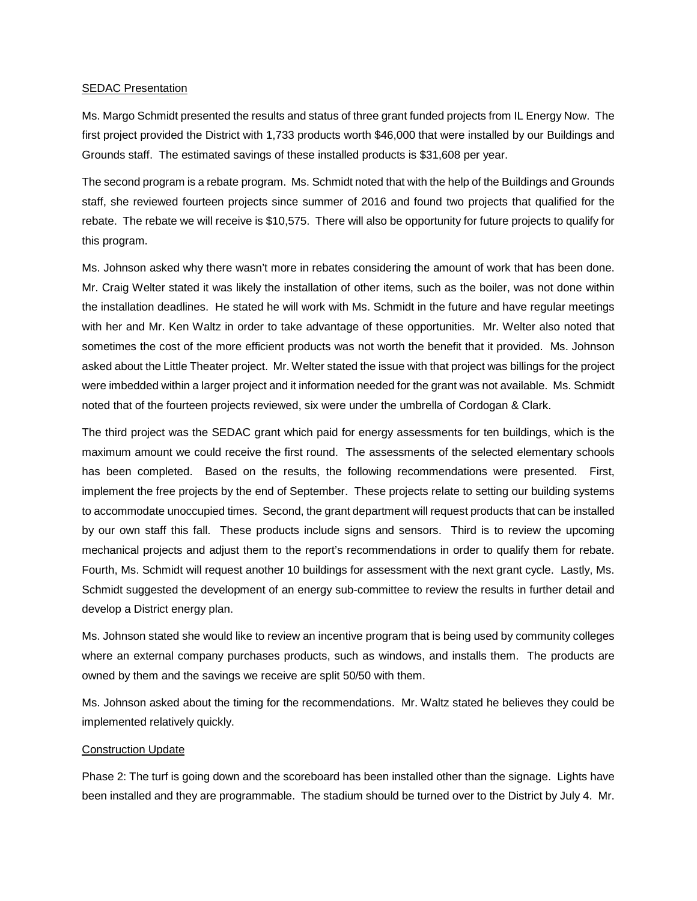### **SEDAC Presentation**

Ms. Margo Schmidt presented the results and status of three grant funded projects from IL Energy Now. The first project provided the District with 1,733 products worth \$46,000 that were installed by our Buildings and Grounds staff. The estimated savings of these installed products is \$31,608 per year.

The second program is a rebate program. Ms. Schmidt noted that with the help of the Buildings and Grounds staff, she reviewed fourteen projects since summer of 2016 and found two projects that qualified for the rebate. The rebate we will receive is \$10,575. There will also be opportunity for future projects to qualify for this program.

Ms. Johnson asked why there wasn't more in rebates considering the amount of work that has been done. Mr. Craig Welter stated it was likely the installation of other items, such as the boiler, was not done within the installation deadlines. He stated he will work with Ms. Schmidt in the future and have regular meetings with her and Mr. Ken Waltz in order to take advantage of these opportunities. Mr. Welter also noted that sometimes the cost of the more efficient products was not worth the benefit that it provided. Ms. Johnson asked about the Little Theater project. Mr. Welter stated the issue with that project was billings for the project were imbedded within a larger project and it information needed for the grant was not available. Ms. Schmidt noted that of the fourteen projects reviewed, six were under the umbrella of Cordogan & Clark.

The third project was the SEDAC grant which paid for energy assessments for ten buildings, which is the maximum amount we could receive the first round. The assessments of the selected elementary schools has been completed. Based on the results, the following recommendations were presented. First, implement the free projects by the end of September. These projects relate to setting our building systems to accommodate unoccupied times. Second, the grant department will request products that can be installed by our own staff this fall. These products include signs and sensors. Third is to review the upcoming mechanical projects and adjust them to the report's recommendations in order to qualify them for rebate. Fourth, Ms. Schmidt will request another 10 buildings for assessment with the next grant cycle. Lastly, Ms. Schmidt suggested the development of an energy sub-committee to review the results in further detail and develop a District energy plan.

Ms. Johnson stated she would like to review an incentive program that is being used by community colleges where an external company purchases products, such as windows, and installs them. The products are owned by them and the savings we receive are split 50/50 with them.

Ms. Johnson asked about the timing for the recommendations. Mr. Waltz stated he believes they could be implemented relatively quickly.

#### Construction Update

Phase 2: The turf is going down and the scoreboard has been installed other than the signage. Lights have been installed and they are programmable. The stadium should be turned over to the District by July 4. Mr.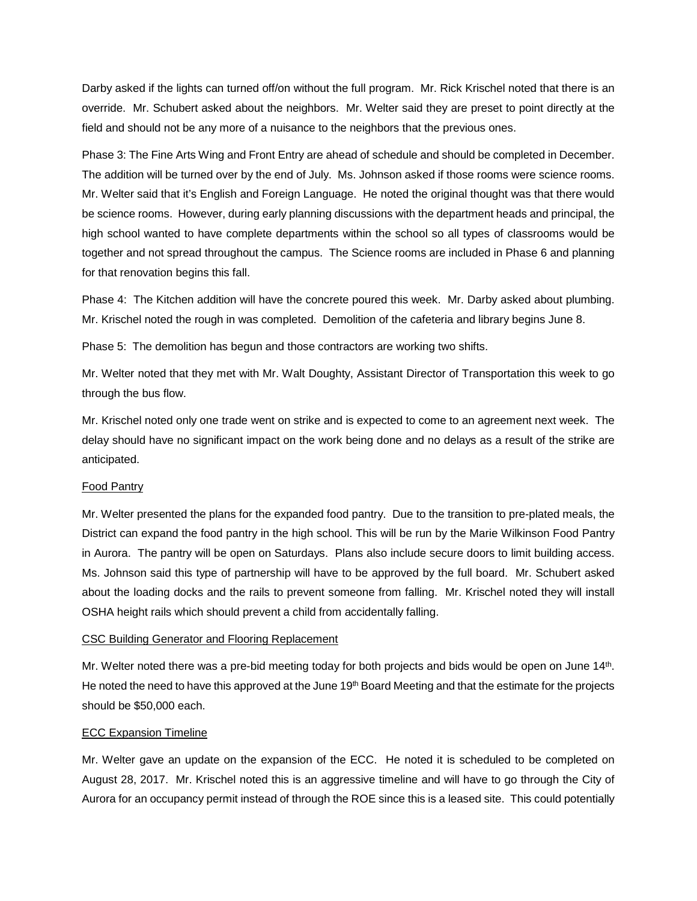Darby asked if the lights can turned off/on without the full program. Mr. Rick Krischel noted that there is an override. Mr. Schubert asked about the neighbors. Mr. Welter said they are preset to point directly at the field and should not be any more of a nuisance to the neighbors that the previous ones.

Phase 3: The Fine Arts Wing and Front Entry are ahead of schedule and should be completed in December. The addition will be turned over by the end of July. Ms. Johnson asked if those rooms were science rooms. Mr. Welter said that it's English and Foreign Language. He noted the original thought was that there would be science rooms. However, during early planning discussions with the department heads and principal, the high school wanted to have complete departments within the school so all types of classrooms would be together and not spread throughout the campus. The Science rooms are included in Phase 6 and planning for that renovation begins this fall.

Phase 4: The Kitchen addition will have the concrete poured this week. Mr. Darby asked about plumbing. Mr. Krischel noted the rough in was completed. Demolition of the cafeteria and library begins June 8.

Phase 5: The demolition has begun and those contractors are working two shifts.

Mr. Welter noted that they met with Mr. Walt Doughty, Assistant Director of Transportation this week to go through the bus flow.

Mr. Krischel noted only one trade went on strike and is expected to come to an agreement next week. The delay should have no significant impact on the work being done and no delays as a result of the strike are anticipated.

## Food Pantry

Mr. Welter presented the plans for the expanded food pantry. Due to the transition to pre-plated meals, the District can expand the food pantry in the high school. This will be run by the Marie Wilkinson Food Pantry in Aurora. The pantry will be open on Saturdays. Plans also include secure doors to limit building access. Ms. Johnson said this type of partnership will have to be approved by the full board. Mr. Schubert asked about the loading docks and the rails to prevent someone from falling. Mr. Krischel noted they will install OSHA height rails which should prevent a child from accidentally falling.

## CSC Building Generator and Flooring Replacement

Mr. Welter noted there was a pre-bid meeting today for both projects and bids would be open on June 14th. He noted the need to have this approved at the June 19<sup>th</sup> Board Meeting and that the estimate for the projects should be \$50,000 each.

## ECC Expansion Timeline

Mr. Welter gave an update on the expansion of the ECC. He noted it is scheduled to be completed on August 28, 2017. Mr. Krischel noted this is an aggressive timeline and will have to go through the City of Aurora for an occupancy permit instead of through the ROE since this is a leased site. This could potentially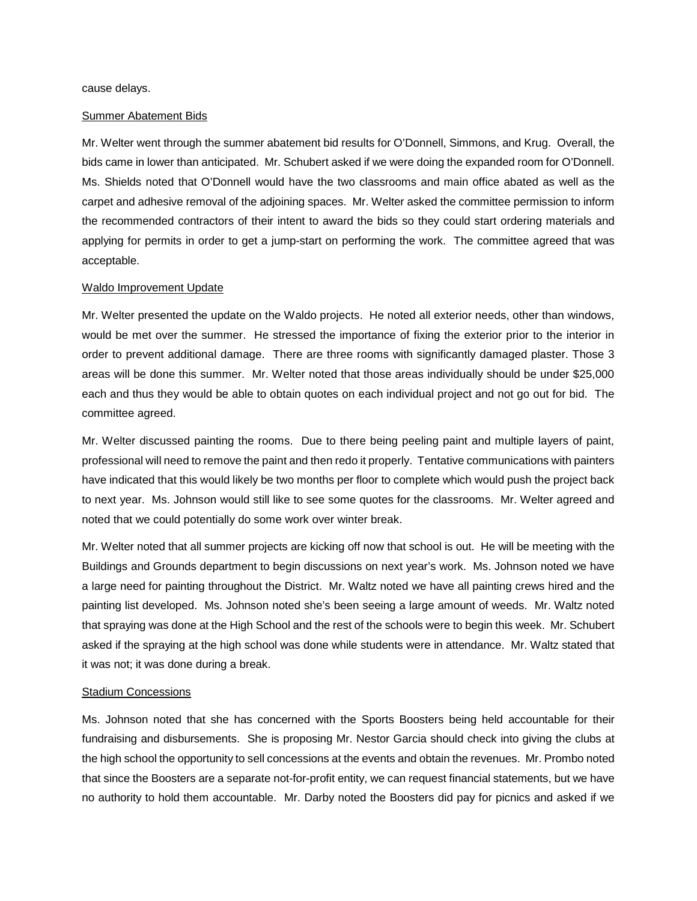cause delays.

#### Summer Abatement Bids

Mr. Welter went through the summer abatement bid results for O'Donnell, Simmons, and Krug. Overall, the bids came in lower than anticipated. Mr. Schubert asked if we were doing the expanded room for O'Donnell. Ms. Shields noted that O'Donnell would have the two classrooms and main office abated as well as the carpet and adhesive removal of the adjoining spaces. Mr. Welter asked the committee permission to inform the recommended contractors of their intent to award the bids so they could start ordering materials and applying for permits in order to get a jump-start on performing the work. The committee agreed that was acceptable.

#### Waldo Improvement Update

Mr. Welter presented the update on the Waldo projects. He noted all exterior needs, other than windows, would be met over the summer. He stressed the importance of fixing the exterior prior to the interior in order to prevent additional damage. There are three rooms with significantly damaged plaster. Those 3 areas will be done this summer. Mr. Welter noted that those areas individually should be under \$25,000 each and thus they would be able to obtain quotes on each individual project and not go out for bid. The committee agreed.

Mr. Welter discussed painting the rooms. Due to there being peeling paint and multiple layers of paint, professional will need to remove the paint and then redo it properly. Tentative communications with painters have indicated that this would likely be two months per floor to complete which would push the project back to next year. Ms. Johnson would still like to see some quotes for the classrooms. Mr. Welter agreed and noted that we could potentially do some work over winter break.

Mr. Welter noted that all summer projects are kicking off now that school is out. He will be meeting with the Buildings and Grounds department to begin discussions on next year's work. Ms. Johnson noted we have a large need for painting throughout the District. Mr. Waltz noted we have all painting crews hired and the painting list developed. Ms. Johnson noted she's been seeing a large amount of weeds. Mr. Waltz noted that spraying was done at the High School and the rest of the schools were to begin this week. Mr. Schubert asked if the spraying at the high school was done while students were in attendance. Mr. Waltz stated that it was not; it was done during a break.

#### Stadium Concessions

Ms. Johnson noted that she has concerned with the Sports Boosters being held accountable for their fundraising and disbursements. She is proposing Mr. Nestor Garcia should check into giving the clubs at the high school the opportunity to sell concessions at the events and obtain the revenues. Mr. Prombo noted that since the Boosters are a separate not-for-profit entity, we can request financial statements, but we have no authority to hold them accountable. Mr. Darby noted the Boosters did pay for picnics and asked if we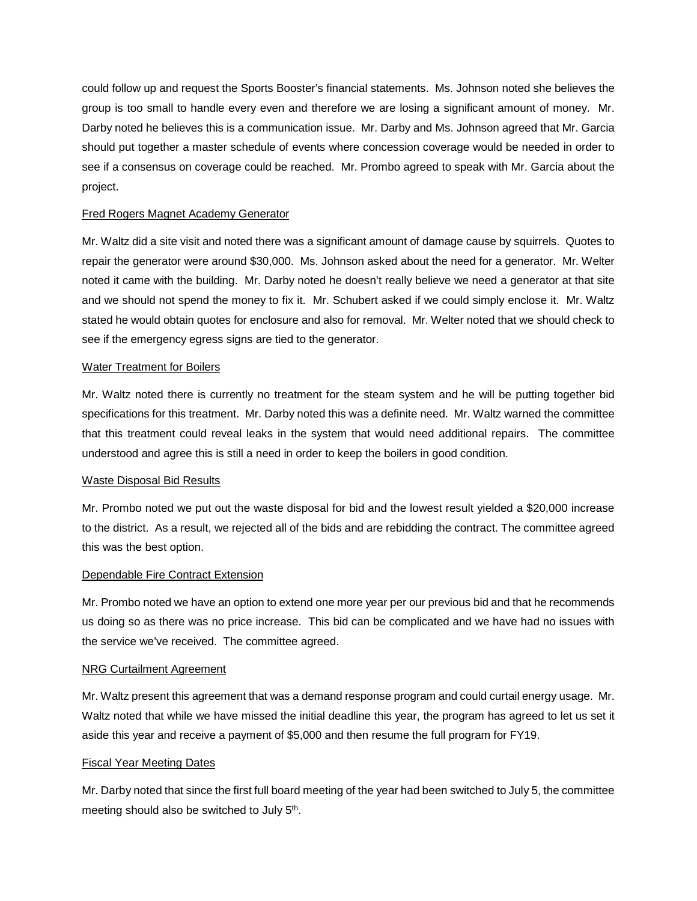could follow up and request the Sports Booster's financial statements. Ms. Johnson noted she believes the group is too small to handle every even and therefore we are losing a significant amount of money. Mr. Darby noted he believes this is a communication issue. Mr. Darby and Ms. Johnson agreed that Mr. Garcia should put together a master schedule of events where concession coverage would be needed in order to see if a consensus on coverage could be reached. Mr. Prombo agreed to speak with Mr. Garcia about the project.

# Fred Rogers Magnet Academy Generator

Mr. Waltz did a site visit and noted there was a significant amount of damage cause by squirrels. Quotes to repair the generator were around \$30,000. Ms. Johnson asked about the need for a generator. Mr. Welter noted it came with the building. Mr. Darby noted he doesn't really believe we need a generator at that site and we should not spend the money to fix it. Mr. Schubert asked if we could simply enclose it. Mr. Waltz stated he would obtain quotes for enclosure and also for removal. Mr. Welter noted that we should check to see if the emergency egress signs are tied to the generator.

## Water Treatment for Boilers

Mr. Waltz noted there is currently no treatment for the steam system and he will be putting together bid specifications for this treatment. Mr. Darby noted this was a definite need. Mr. Waltz warned the committee that this treatment could reveal leaks in the system that would need additional repairs. The committee understood and agree this is still a need in order to keep the boilers in good condition.

## Waste Disposal Bid Results

Mr. Prombo noted we put out the waste disposal for bid and the lowest result yielded a \$20,000 increase to the district. As a result, we rejected all of the bids and are rebidding the contract. The committee agreed this was the best option.

# Dependable Fire Contract Extension

Mr. Prombo noted we have an option to extend one more year per our previous bid and that he recommends us doing so as there was no price increase. This bid can be complicated and we have had no issues with the service we've received. The committee agreed.

## NRG Curtailment Agreement

Mr. Waltz present this agreement that was a demand response program and could curtail energy usage. Mr. Waltz noted that while we have missed the initial deadline this year, the program has agreed to let us set it aside this year and receive a payment of \$5,000 and then resume the full program for FY19.

## Fiscal Year Meeting Dates

Mr. Darby noted that since the first full board meeting of the year had been switched to July 5, the committee meeting should also be switched to July 5<sup>th</sup>.